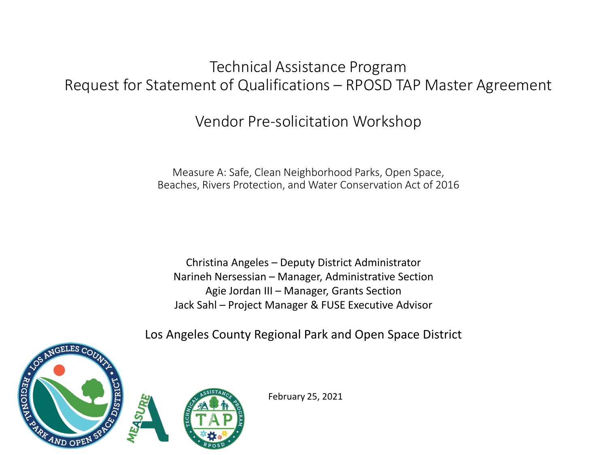### Technical Assistance Program Request for Statement of Qualifications – RPOSD TAP Master Agreement

Vendor Pre-solicitation Workshop

Measure A: Safe, Clean Neighborhood Parks, Open Space, Beaches, Rivers Protection, and Water Conservation Act of 2016

Christina Angeles – Deputy District Administrator Narineh Nersessian – Manager, Administrative Section Agie Jordan III – Manager, Grants Section Jack Sahl – Project Manager & FUSE Executive Advisor

Los Angeles County Regional Park and Open Space District



February 25, 2021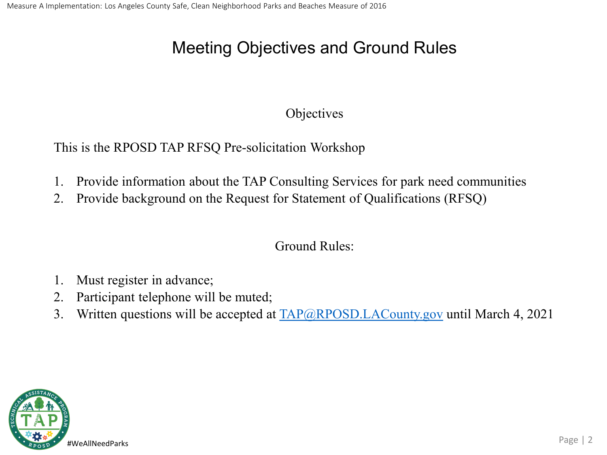# Meeting Objectives and Ground Rules

#### **Objectives**

This is the RPOSD TAP RFSQ Pre-solicitation Workshop

- 1. Provide information about the TAP Consulting Services for park need communities
- 2. Provide background on the Request for Statement of Qualifications (RFSQ)

Ground Rules:

- 1. Must register in advance;
- 2. Participant telephone will be muted;
- 3. Written questions will be accepted at  $TAP@RPOSD.LACounty.gov$  until March 4, 2021

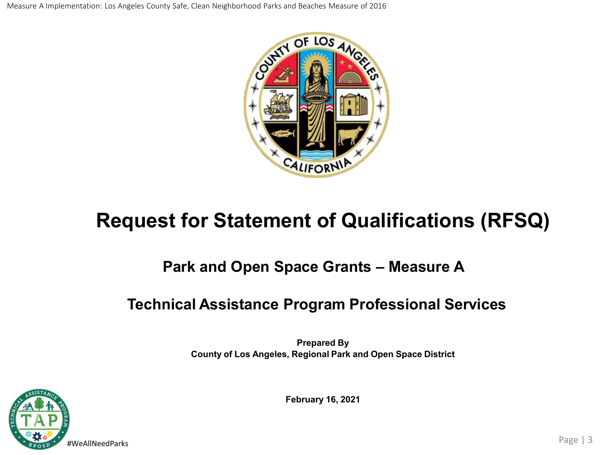Measure A Implementation: Los Angeles County Safe, Clean Neighborhood Parks and Beaches Measure of 2016



# **Request for Statement of Qualifications (RFSQ)**

### **Park and Open Space Grants – Measure A**

### **Technical Assistance Program Professional Services**

**Prepared By County of Los Angeles, Regional Park and Open Space District**



**February 16, 2021**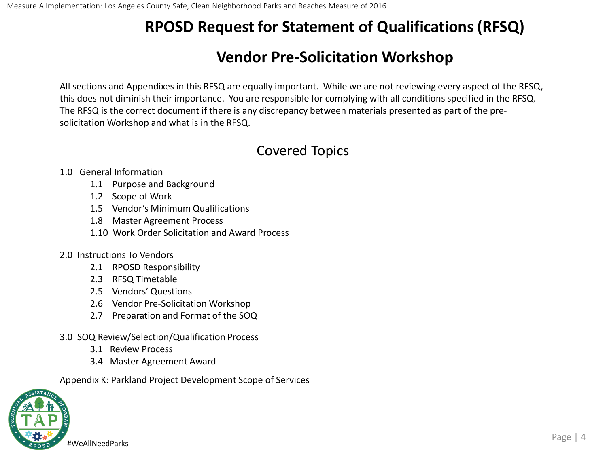## **Vendor Pre-Solicitation Workshop**

All sections and Appendixes in this RFSQ are equally important. While we are not reviewing every aspect of the RFSQ, this does not diminish their importance. You are responsible for complying with all conditions specified in the RFSQ. The RFSQ is the correct document if there is any discrepancy between materials presented as part of the presolicitation Workshop and what is in the RFSQ.

#### Covered Topics

#### 1.0 General Information

- 1.1 Purpose and Background
- 1.2 Scope of Work
- 1.5 Vendor's Minimum Qualifications
- 1.8 Master Agreement Process
- 1.10 Work Order Solicitation and Award Process

#### 2.0 Instructions To Vendors

- 2.1 RPOSD Responsibility
- 2.3 RFSQ Timetable
- 2.5 Vendors' Questions
- 2.6 Vendor Pre-Solicitation Workshop
- 2.7 Preparation and Format of the SOQ
- 3.0 SOQ Review/Selection/Qualification Process
	- 3.1 Review Process
	- 3.4 Master Agreement Award

Appendix K: Parkland Project Development Scope of Services

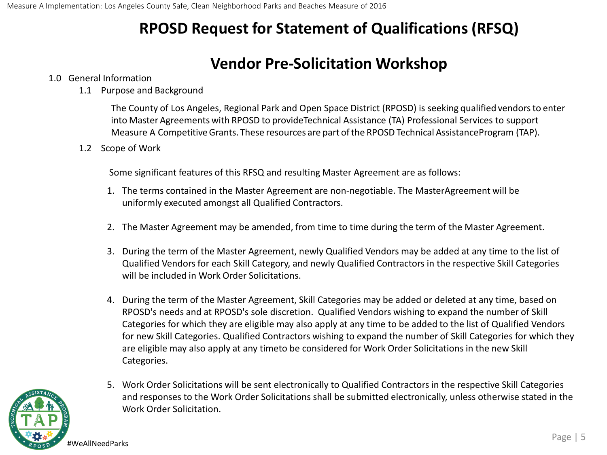#### **Vendor Pre-Solicitation Workshop**

#### 1.0 General Information

1.1 Purpose and Background

The County of Los Angeles, Regional Park and Open Space District (RPOSD) is seeking qualified vendorsto enter into Master Agreements with RPOSD to provideTechnical Assistance (TA) Professional Services to support Measure A CompetitiveGrants. These resources are part ofthe RPOSD Technical AssistanceProgram (TAP).

1.2 Scope of Work

Some significant features of this RFSQ and resulting Master Agreement are as follows:

- 1. The terms contained in the Master Agreement are non-negotiable. The MasterAgreement will be uniformly executed amongst all Qualified Contractors.
- 2. The Master Agreement may be amended, from time to time during the term of the Master Agreement.
- 3. During the term of the Master Agreement, newly Qualified Vendors may be added at any time to the list of Qualified Vendors for each Skill Category, and newly Qualified Contractors in the respective Skill Categories will be included in Work Order Solicitations.
- 4. During the term of the Master Agreement, Skill Categories may be added or deleted at any time, based on RPOSD's needs and at RPOSD's sole discretion. Qualified Vendors wishing to expand the number of Skill Categories for which they are eligible may also apply at any time to be added to the list of Qualified Vendors for new Skill Categories. Qualified Contractors wishing to expand the number of Skill Categories for which they are eligible may also apply at any timeto be considered for Work Order Solicitations in the new Skill Categories.
- 5. Work Order Solicitations will be sent electronically to Qualified Contractors in the respective Skill Categories and responses to the Work Order Solicitations shall be submitted electronically, unless otherwise stated in the Work Order Solicitation.

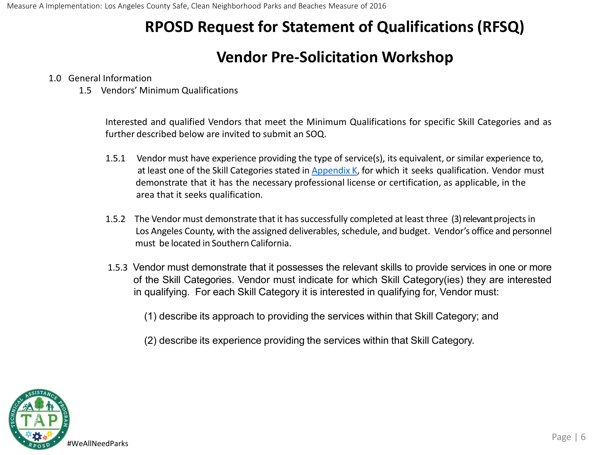### **Vendor Pre-Solicitation Workshop**

#### 1.0 General Information

1.5 Vendors' Minimum Qualifications

Interested and qualified Vendors that meet the Minimum Qualifications for specific Skill Categories and as further described below are invited to submit an SOQ.

- 1.5.1 Vendor must have experience providing the type of service(s), its equivalent, or similar experience to, at least one of the Skill Categories stated in Appendix K, for which it seeks qualification. Vendor must demonstrate that it has the necessary professional license or certification, as applicable, in the area that it seeks qualification.
- 1.5.2 The Vendor must demonstrate that it has successfully completed at least three (3) relevant projects in Los Angeles County, with the assigned deliverables, schedule, and budget. Vendor's office and personnel must be located in Southern California.
- 1.5.3 Vendor must demonstrate that it possesses the relevant skills to provide services in one or more of the Skill Categories. Vendor must indicate for which Skill Category(ies) they are interested in qualifying. For each Skill Category it is interested in qualifying for, Vendor must:

(1) describe its approach to providing the services within that Skill Category; and

(2) describe its experience providing the services within that Skill Category.

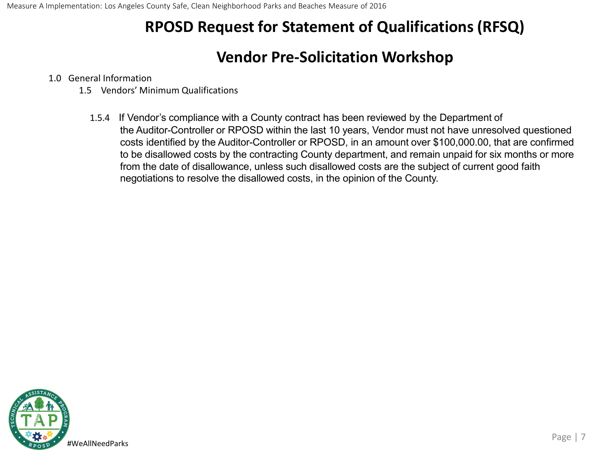#### **Vendor Pre-Solicitation Workshop**

#### 1.0 General Information

- 1.5 Vendors' Minimum Qualifications
	- 1.5.4 If Vendor's compliance with a County contract has been reviewed by the Department of the Auditor-Controller or RPOSD within the last 10 years, Vendor must not have unresolved questioned costs identified by the Auditor-Controller or RPOSD, in an amount over \$100,000.00, that are confirmed to be disallowed costs by the contracting County department, and remain unpaid for six months or more from the date of disallowance, unless such disallowed costs are the subject of current good faith negotiations to resolve the disallowed costs, in the opinion of the County.

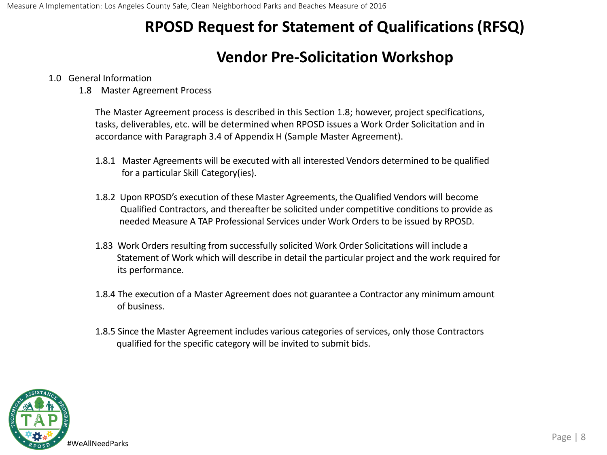### **Vendor Pre-Solicitation Workshop**

#### 1.0 General Information

1.8 Master Agreement Process

The Master Agreement process is described in this Section 1.8; however, project specifications, tasks, deliverables, etc. will be determined when RPOSD issues a Work Order Solicitation and in accordance with Paragraph 3.4 of Appendix H (Sample Master Agreement).

- 1.8.1 Master Agreements will be executed with all interested Vendors determined to be qualified for a particular Skill Category(ies).
- 1.8.2 Upon RPOSD's execution of these Master Agreements, the Qualified Vendors will become Qualified Contractors, and thereafter be solicited under competitive conditions to provide as needed Measure A TAP Professional Services under Work Orders to be issued by RPOSD.
- 1.83 Work Orders resulting from successfully solicited Work Order Solicitations will include a Statement of Work which will describe in detail the particular project and the work required for its performance.
- 1.8.4 The execution of a Master Agreement does not guarantee a Contractor any minimum amount of business.
- 1.8.5 Since the Master Agreement includes various categories of services, only those Contractors qualified for the specific category will be invited to submit bids.

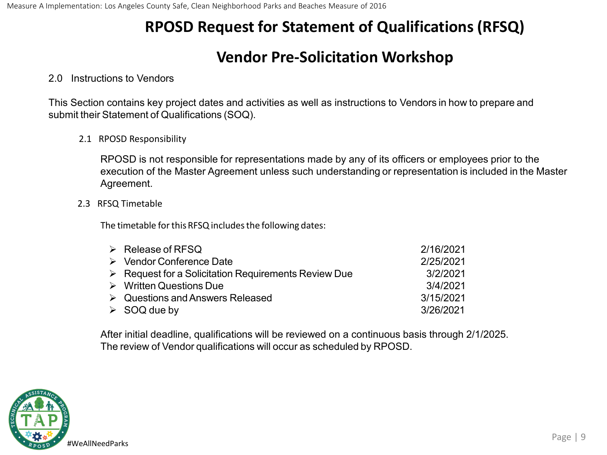### **Vendor Pre-Solicitation Workshop**

#### 2.0 Instructions to Vendors

This Section contains key project dates and activities as well as instructions to Vendors in how to prepare and submit their Statement of Qualifications (SOQ).

2.1 RPOSD Responsibility

RPOSD is not responsible for representations made by any of its officers or employees prior to the execution of the Master Agreement unless such understanding or representation is included in the Master Agreement.

2.3 RFSQ Timetable

The timetable for this RFSQ includes the following dates:

| $\triangleright$ Release of RFSQ                                    | 2/16/2021 |
|---------------------------------------------------------------------|-----------|
| $\triangleright$ Vendor Conference Date                             | 2/25/2021 |
| $\triangleright$ Request for a Solicitation Requirements Review Due | 3/2/2021  |
| $\triangleright$ Written Questions Due                              | 3/4/2021  |
| $\triangleright$ Questions and Answers Released                     | 3/15/2021 |
| $\triangleright$ SOQ due by                                         | 3/26/2021 |

After initial deadline, qualifications will be reviewed on a continuous basis through 2/1/2025. The review of Vendor qualifications will occur as scheduled by RPOSD.

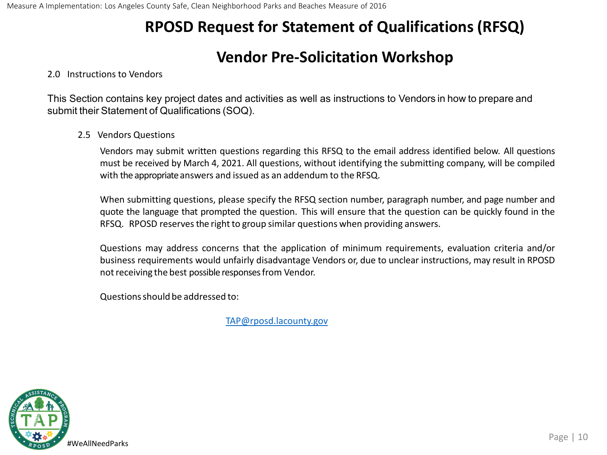#### **Vendor Pre-Solicitation Workshop**

#### 2.0 Instructions to Vendors

This Section contains key project dates and activities as well as instructions to Vendors in how to prepare and submit their Statement of Qualifications (SOQ).

#### 2.5 Vendors Questions

Vendors may submit written questions regarding this RFSQ to the email address identified below. All questions must be received by March 4, 2021. All questions, without identifying the submitting company, will be compiled with the appropriate answers and issued as an addendum to the RFSQ.

When submitting questions, please specify the RFSQ section number, paragraph number, and page number and quote the language that prompted the question. This will ensure that the question can be quickly found in the RFSQ. RPOSD reserves the right to group similar questions when providing answers.

Questions may address concerns that the application of minimum requirements, evaluation criteria and/or business requirements would unfairly disadvantage Vendors or, due to unclear instructions, may result in RPOSD not receiving the best possible responses from Vendor.

Questionsshould be addressed to:

[TAP@rposd.lacounty.gov](mailto:TAP@rposd.lacounty.gov)

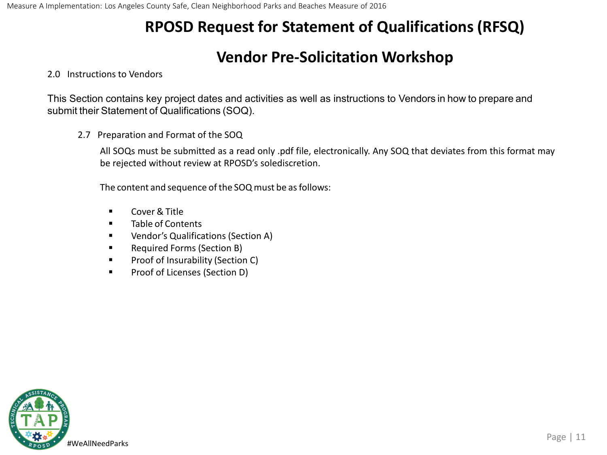#### **Vendor Pre-Solicitation Workshop**

#### 2.0 Instructions to Vendors

This Section contains key project dates and activities as well as instructions to Vendors in how to prepare and submit their Statement of Qualifications (SOQ).

2.7 Preparation and Format of the SOQ

All SOQs must be submitted as a read only .pdf file, electronically. Any SOQ that deviates from this format may be rejected without review at RPOSD's solediscretion.

The content and sequence of the SOQ must be as follows:

- Cover & Title
- **Table of Contents**
- **UREA** Vendor's Qualifications (Section A)
- **Required Forms (Section B)**
- **Proof of Insurability (Section C)**
- **Proof of Licenses (Section D)**

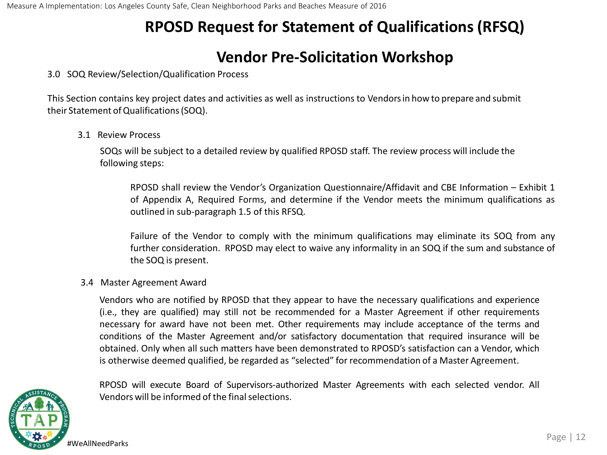### **Vendor Pre-Solicitation Workshop**

#### 3.0 SOQ Review/Selection/Qualification Process

This Section contains key project dates and activities as well as instructions to Vendorsin how to prepare and submit their Statement of Qualifications (SOQ).

3.1 Review Process

SOQs will be subject to a detailed review by qualified RPOSD staff. The review process will include the following steps:

RPOSD shall review the Vendor's Organization Questionnaire/Affidavit and CBE Information – Exhibit 1 of Appendix A, Required Forms, and determine if the Vendor meets the minimum qualifications as outlined in sub-paragraph 1.5 of this RFSQ.

Failure of the Vendor to comply with the minimum qualifications may eliminate its SOQ from any further consideration. RPOSD may elect to waive any informality in an SOQ if the sum and substance of the SOQ is present.

#### 3.4 Master Agreement Award

Vendors who are notified by RPOSD that they appear to have the necessary qualifications and experience (i.e., they are qualified) may still not be recommended for a Master Agreement if other requirements necessary for award have not been met. Other requirements may include acceptance of the terms and conditions of the Master Agreement and/or satisfactory documentation that required insurance will be obtained. Only when all such matters have been demonstrated to RPOSD's satisfaction can a Vendor, which is otherwise deemed qualified, be regarded as "selected" for recommendation of a Master Agreement.



RPOSD will execute Board of Supervisors-authorized Master Agreements with each selected vendor. All Vendors will be informed of the final selections.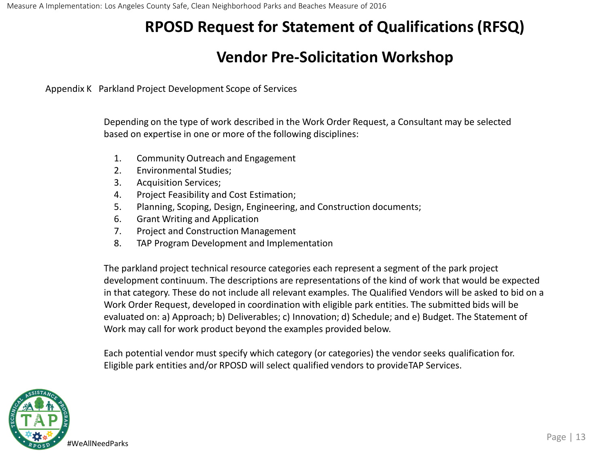#### **Vendor Pre-Solicitation Workshop**

Appendix K Parkland Project Development Scope of Services

Depending on the type of work described in the Work Order Request, a Consultant may be selected based on expertise in one or more of the following disciplines:

- 1. Community Outreach and Engagement
- 2. Environmental Studies;
- 3. Acquisition Services;
- 4. Project Feasibility and Cost Estimation;
- 5. Planning, Scoping, Design, Engineering, and Construction documents;
- 6. Grant Writing and Application
- 7. Project and Construction Management
- 8. TAP Program Development and Implementation

The parkland project technical resource categories each represent a segment of the park project development continuum. The descriptions are representations of the kind of work that would be expected in that category. These do not include all relevant examples. The Qualified Vendors will be asked to bid on a Work Order Request, developed in coordination with eligible park entities. The submitted bids will be evaluated on: a) Approach; b) Deliverables; c) Innovation; d) Schedule; and e) Budget. The Statement of Work may call for work product beyond the examples provided below.

Each potential vendor must specify which category (or categories) the vendor seeks qualification for. Eligible park entities and/or RPOSD will select qualified vendors to provideTAP Services.

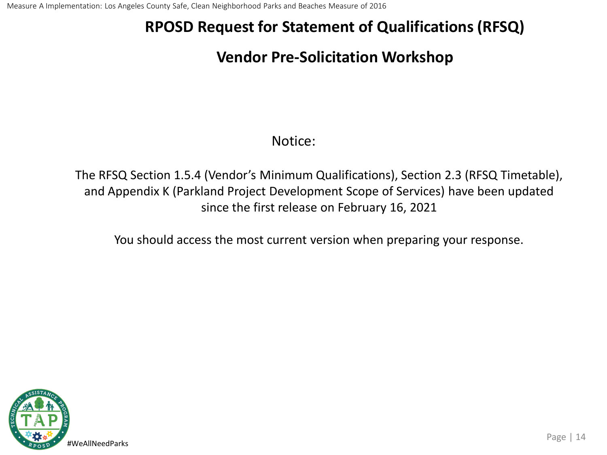### **Vendor Pre-Solicitation Workshop**

#### Notice:

The RFSQ Section 1.5.4 (Vendor's Minimum Qualifications), Section 2.3 (RFSQ Timetable), and Appendix K (Parkland Project Development Scope of Services) have been updated since the first release on February 16, 2021

You should access the most current version when preparing your response.

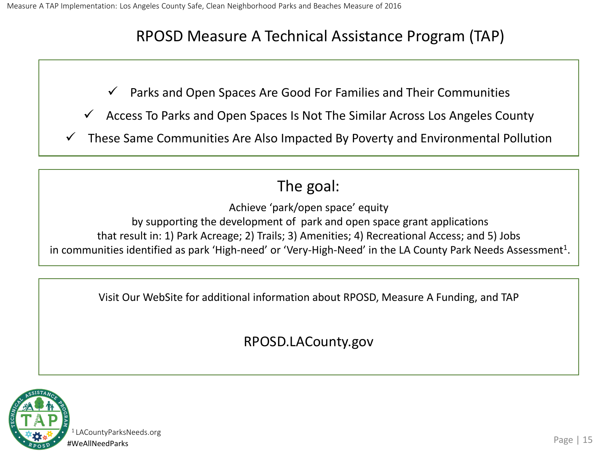#### RPOSD Measure A Technical Assistance Program (TAP)

 $\checkmark$  Parks and Open Spaces Are Good For Families and Their Communities

- Access To Parks and Open Spaces Is Not The Similar Across Los Angeles County
- $\checkmark$  These Same Communities Are Also Impacted By Poverty and Environmental Pollution

## The goal:

Achieve 'park/open space' equity

by supporting the development of park and open space grant applications that result in: 1) Park Acreage; 2) Trails; 3) Amenities; 4) Recreational Access; and 5) Jobs in communities identified as park 'High-need' or 'Very-High-Need' in the LA County Park Needs Assessment<sup>1</sup>.

Visit Our WebSite for additional information about RPOSD, Measure A Funding, and TAP

RPOSD.LACounty.gov